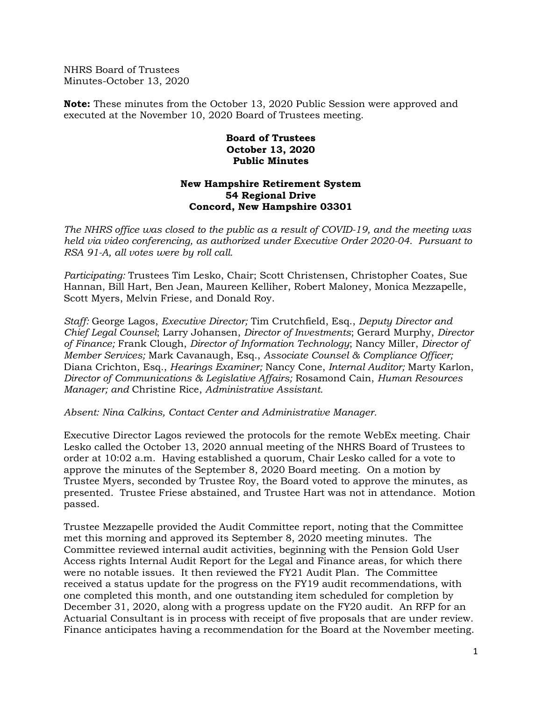NHRS Board of Trustees Minutes-October 13, 2020

**Note:** These minutes from the October 13, 2020 Public Session were approved and executed at the November 10, 2020 Board of Trustees meeting.

## **Board of Trustees October 13, 2020 Public Minutes**

## **New Hampshire Retirement System 54 Regional Drive Concord, New Hampshire 03301**

*The NHRS office was closed to the public as a result of COVID-19, and the meeting was held via video conferencing, as authorized under Executive Order 2020-04. Pursuant to RSA 91-A, all votes were by roll call.*

*Participating:* Trustees Tim Lesko, Chair; Scott Christensen, Christopher Coates, Sue Hannan, Bill Hart, Ben Jean, Maureen Kelliher, Robert Maloney, Monica Mezzapelle, Scott Myers, Melvin Friese, and Donald Roy.

*Staff:* George Lagos, *Executive Director;* Tim Crutchfield, Esq., *Deputy Director and Chief Legal Counsel*; Larry Johansen, *Director of Investments*; Gerard Murphy, *Director of Finance;* Frank Clough, *Director of Information Technology*; Nancy Miller, *Director of Member Services;* Mark Cavanaugh, Esq., *Associate Counsel & Compliance Officer;*  Diana Crichton, Esq., *Hearings Examiner;* Nancy Cone, *Internal Auditor;* Marty Karlon, *Director of Communications & Legislative Affairs;* Rosamond Cain, *Human Resources Manager; and* Christine Rice, *Administrative Assistant.*

*Absent: Nina Calkins, Contact Center and Administrative Manager.*

Executive Director Lagos reviewed the protocols for the remote WebEx meeting. Chair Lesko called the October 13, 2020 annual meeting of the NHRS Board of Trustees to order at 10:02 a.m. Having established a quorum, Chair Lesko called for a vote to approve the minutes of the September 8, 2020 Board meeting. On a motion by Trustee Myers, seconded by Trustee Roy, the Board voted to approve the minutes, as presented. Trustee Friese abstained, and Trustee Hart was not in attendance. Motion passed.

Trustee Mezzapelle provided the Audit Committee report, noting that the Committee met this morning and approved its September 8, 2020 meeting minutes. The Committee reviewed internal audit activities, beginning with the Pension Gold User Access rights Internal Audit Report for the Legal and Finance areas, for which there were no notable issues. It then reviewed the FY21 Audit Plan. The Committee received a status update for the progress on the FY19 audit recommendations, with one completed this month, and one outstanding item scheduled for completion by December 31, 2020, along with a progress update on the FY20 audit. An RFP for an Actuarial Consultant is in process with receipt of five proposals that are under review. Finance anticipates having a recommendation for the Board at the November meeting.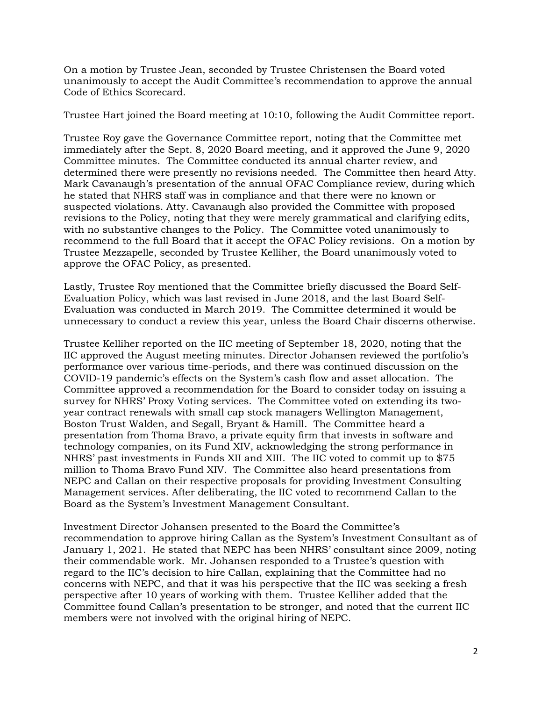On a motion by Trustee Jean, seconded by Trustee Christensen the Board voted unanimously to accept the Audit Committee's recommendation to approve the annual Code of Ethics Scorecard.

Trustee Hart joined the Board meeting at 10:10, following the Audit Committee report.

Trustee Roy gave the Governance Committee report, noting that the Committee met immediately after the Sept. 8, 2020 Board meeting, and it approved the June 9, 2020 Committee minutes. The Committee conducted its annual charter review, and determined there were presently no revisions needed. The Committee then heard Atty. Mark Cavanaugh's presentation of the annual OFAC Compliance review, during which he stated that NHRS staff was in compliance and that there were no known or suspected violations. Atty. Cavanaugh also provided the Committee with proposed revisions to the Policy, noting that they were merely grammatical and clarifying edits, with no substantive changes to the Policy. The Committee voted unanimously to recommend to the full Board that it accept the OFAC Policy revisions. On a motion by Trustee Mezzapelle, seconded by Trustee Kelliher, the Board unanimously voted to approve the OFAC Policy, as presented.

Lastly, Trustee Roy mentioned that the Committee briefly discussed the Board Self-Evaluation Policy, which was last revised in June 2018, and the last Board Self-Evaluation was conducted in March 2019. The Committee determined it would be unnecessary to conduct a review this year, unless the Board Chair discerns otherwise.

Trustee Kelliher reported on the IIC meeting of September 18, 2020, noting that the IIC approved the August meeting minutes. Director Johansen reviewed the portfolio's performance over various time-periods, and there was continued discussion on the COVID-19 pandemic's effects on the System's cash flow and asset allocation. The Committee approved a recommendation for the Board to consider today on issuing a survey for NHRS' Proxy Voting services. The Committee voted on extending its twoyear contract renewals with small cap stock managers Wellington Management, Boston Trust Walden, and Segall, Bryant & Hamill. The Committee heard a presentation from Thoma Bravo, a private equity firm that invests in software and technology companies, on its Fund XIV, acknowledging the strong performance in NHRS' past investments in Funds XII and XIII. The IIC voted to commit up to \$75 million to Thoma Bravo Fund XIV. The Committee also heard presentations from NEPC and Callan on their respective proposals for providing Investment Consulting Management services. After deliberating, the IIC voted to recommend Callan to the Board as the System's Investment Management Consultant.

Investment Director Johansen presented to the Board the Committee's recommendation to approve hiring Callan as the System's Investment Consultant as of January 1, 2021. He stated that NEPC has been NHRS' consultant since 2009, noting their commendable work. Mr. Johansen responded to a Trustee's question with regard to the IIC's decision to hire Callan, explaining that the Committee had no concerns with NEPC, and that it was his perspective that the IIC was seeking a fresh perspective after 10 years of working with them. Trustee Kelliher added that the Committee found Callan's presentation to be stronger, and noted that the current IIC members were not involved with the original hiring of NEPC.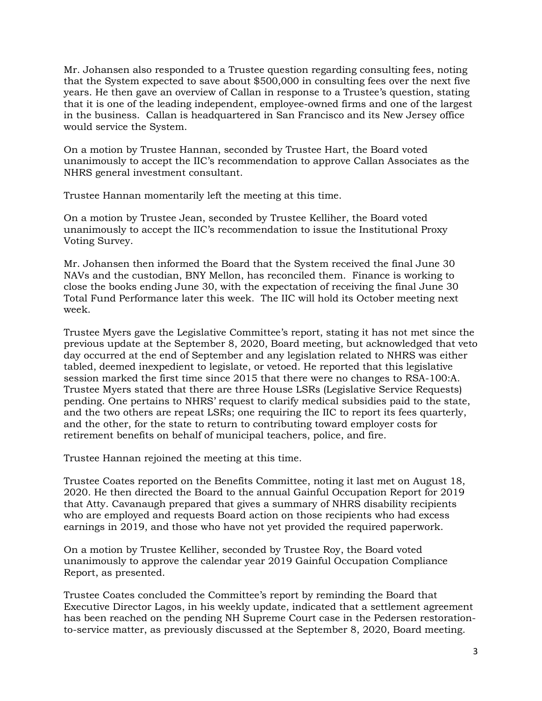Mr. Johansen also responded to a Trustee question regarding consulting fees, noting that the System expected to save about \$500,000 in consulting fees over the next five years. He then gave an overview of Callan in response to a Trustee's question, stating that it is one of the leading independent, employee-owned firms and one of the largest in the business. Callan is headquartered in San Francisco and its New Jersey office would service the System.

On a motion by Trustee Hannan, seconded by Trustee Hart, the Board voted unanimously to accept the IIC's recommendation to approve Callan Associates as the NHRS general investment consultant.

Trustee Hannan momentarily left the meeting at this time.

On a motion by Trustee Jean, seconded by Trustee Kelliher, the Board voted unanimously to accept the IIC's recommendation to issue the Institutional Proxy Voting Survey.

Mr. Johansen then informed the Board that the System received the final June 30 NAVs and the custodian, BNY Mellon, has reconciled them. Finance is working to close the books ending June 30, with the expectation of receiving the final June 30 Total Fund Performance later this week. The IIC will hold its October meeting next week.

Trustee Myers gave the Legislative Committee's report, stating it has not met since the previous update at the September 8, 2020, Board meeting, but acknowledged that veto day occurred at the end of September and any legislation related to NHRS was either tabled, deemed inexpedient to legislate, or vetoed. He reported that this legislative session marked the first time since 2015 that there were no changes to RSA-100:A. Trustee Myers stated that there are three House LSRs (Legislative Service Requests) pending. One pertains to NHRS' request to clarify medical subsidies paid to the state, and the two others are repeat LSRs; one requiring the IIC to report its fees quarterly, and the other, for the state to return to contributing toward employer costs for retirement benefits on behalf of municipal teachers, police, and fire.

Trustee Hannan rejoined the meeting at this time.

Trustee Coates reported on the Benefits Committee, noting it last met on August 18, 2020. He then directed the Board to the annual Gainful Occupation Report for 2019 that Atty. Cavanaugh prepared that gives a summary of NHRS disability recipients who are employed and requests Board action on those recipients who had excess earnings in 2019, and those who have not yet provided the required paperwork.

On a motion by Trustee Kelliher, seconded by Trustee Roy, the Board voted unanimously to approve the calendar year 2019 Gainful Occupation Compliance Report, as presented.

Trustee Coates concluded the Committee's report by reminding the Board that Executive Director Lagos, in his weekly update, indicated that a settlement agreement has been reached on the pending NH Supreme Court case in the Pedersen restorationto-service matter, as previously discussed at the September 8, 2020, Board meeting.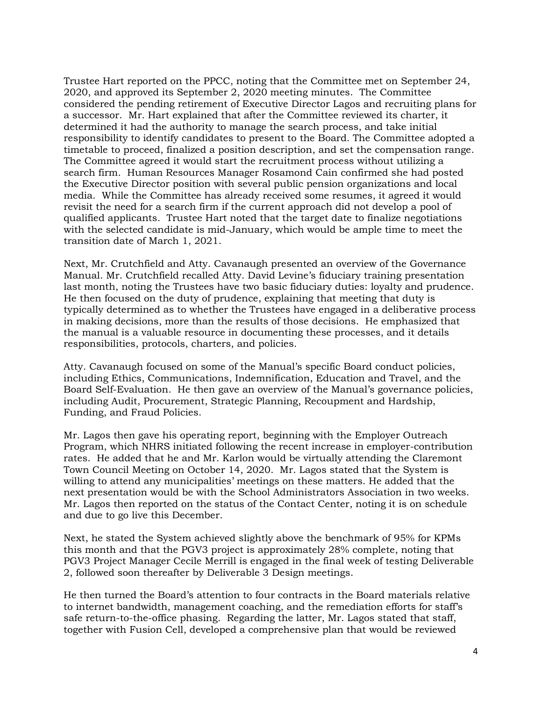Trustee Hart reported on the PPCC, noting that the Committee met on September 24, 2020, and approved its September 2, 2020 meeting minutes. The Committee considered the pending retirement of Executive Director Lagos and recruiting plans for a successor. Mr. Hart explained that after the Committee reviewed its charter, it determined it had the authority to manage the search process, and take initial responsibility to identify candidates to present to the Board. The Committee adopted a timetable to proceed, finalized a position description, and set the compensation range. The Committee agreed it would start the recruitment process without utilizing a search firm. Human Resources Manager Rosamond Cain confirmed she had posted the Executive Director position with several public pension organizations and local media. While the Committee has already received some resumes, it agreed it would revisit the need for a search firm if the current approach did not develop a pool of qualified applicants. Trustee Hart noted that the target date to finalize negotiations with the selected candidate is mid-January, which would be ample time to meet the transition date of March 1, 2021.

Next, Mr. Crutchfield and Atty. Cavanaugh presented an overview of the Governance Manual. Mr. Crutchfield recalled Atty. David Levine's fiduciary training presentation last month, noting the Trustees have two basic fiduciary duties: loyalty and prudence. He then focused on the duty of prudence, explaining that meeting that duty is typically determined as to whether the Trustees have engaged in a deliberative process in making decisions, more than the results of those decisions. He emphasized that the manual is a valuable resource in documenting these processes, and it details responsibilities, protocols, charters, and policies.

Atty. Cavanaugh focused on some of the Manual's specific Board conduct policies, including Ethics, Communications, Indemnification, Education and Travel, and the Board Self-Evaluation. He then gave an overview of the Manual's governance policies, including Audit, Procurement, Strategic Planning, Recoupment and Hardship, Funding, and Fraud Policies.

Mr. Lagos then gave his operating report, beginning with the Employer Outreach Program, which NHRS initiated following the recent increase in employer-contribution rates. He added that he and Mr. Karlon would be virtually attending the Claremont Town Council Meeting on October 14, 2020. Mr. Lagos stated that the System is willing to attend any municipalities' meetings on these matters. He added that the next presentation would be with the School Administrators Association in two weeks. Mr. Lagos then reported on the status of the Contact Center, noting it is on schedule and due to go live this December.

Next, he stated the System achieved slightly above the benchmark of 95% for KPMs this month and that the PGV3 project is approximately 28% complete, noting that PGV3 Project Manager Cecile Merrill is engaged in the final week of testing Deliverable 2, followed soon thereafter by Deliverable 3 Design meetings.

He then turned the Board's attention to four contracts in the Board materials relative to internet bandwidth, management coaching, and the remediation efforts for staff's safe return-to-the-office phasing. Regarding the latter, Mr. Lagos stated that staff, together with Fusion Cell, developed a comprehensive plan that would be reviewed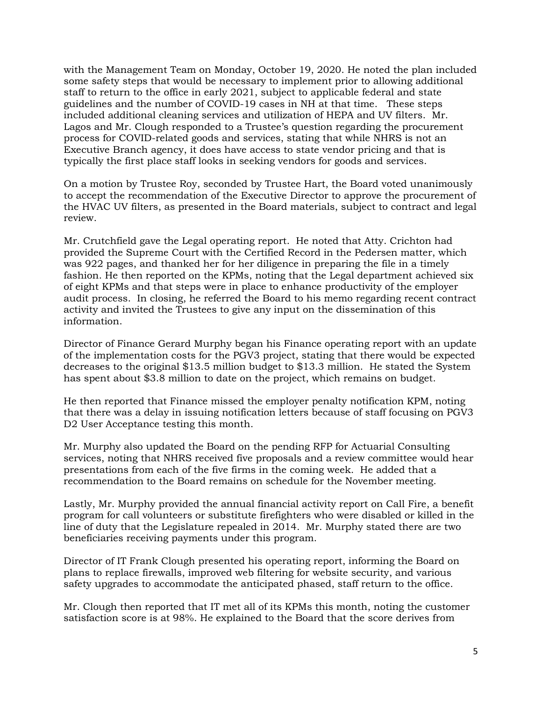with the Management Team on Monday, October 19, 2020. He noted the plan included some safety steps that would be necessary to implement prior to allowing additional staff to return to the office in early 2021, subject to applicable federal and state guidelines and the number of COVID-19 cases in NH at that time. These steps included additional cleaning services and utilization of HEPA and UV filters. Mr. Lagos and Mr. Clough responded to a Trustee's question regarding the procurement process for COVID-related goods and services, stating that while NHRS is not an Executive Branch agency, it does have access to state vendor pricing and that is typically the first place staff looks in seeking vendors for goods and services.

On a motion by Trustee Roy, seconded by Trustee Hart, the Board voted unanimously to accept the recommendation of the Executive Director to approve the procurement of the HVAC UV filters, as presented in the Board materials, subject to contract and legal review.

Mr. Crutchfield gave the Legal operating report. He noted that Atty. Crichton had provided the Supreme Court with the Certified Record in the Pedersen matter, which was 922 pages, and thanked her for her diligence in preparing the file in a timely fashion. He then reported on the KPMs, noting that the Legal department achieved six of eight KPMs and that steps were in place to enhance productivity of the employer audit process. In closing, he referred the Board to his memo regarding recent contract activity and invited the Trustees to give any input on the dissemination of this information.

Director of Finance Gerard Murphy began his Finance operating report with an update of the implementation costs for the PGV3 project, stating that there would be expected decreases to the original \$13.5 million budget to \$13.3 million. He stated the System has spent about \$3.8 million to date on the project, which remains on budget.

He then reported that Finance missed the employer penalty notification KPM, noting that there was a delay in issuing notification letters because of staff focusing on PGV3 D2 User Acceptance testing this month.

Mr. Murphy also updated the Board on the pending RFP for Actuarial Consulting services, noting that NHRS received five proposals and a review committee would hear presentations from each of the five firms in the coming week. He added that a recommendation to the Board remains on schedule for the November meeting.

Lastly, Mr. Murphy provided the annual financial activity report on Call Fire, a benefit program for call volunteers or substitute firefighters who were disabled or killed in the line of duty that the Legislature repealed in 2014. Mr. Murphy stated there are two beneficiaries receiving payments under this program.

Director of IT Frank Clough presented his operating report, informing the Board on plans to replace firewalls, improved web filtering for website security, and various safety upgrades to accommodate the anticipated phased, staff return to the office.

Mr. Clough then reported that IT met all of its KPMs this month, noting the customer satisfaction score is at 98%. He explained to the Board that the score derives from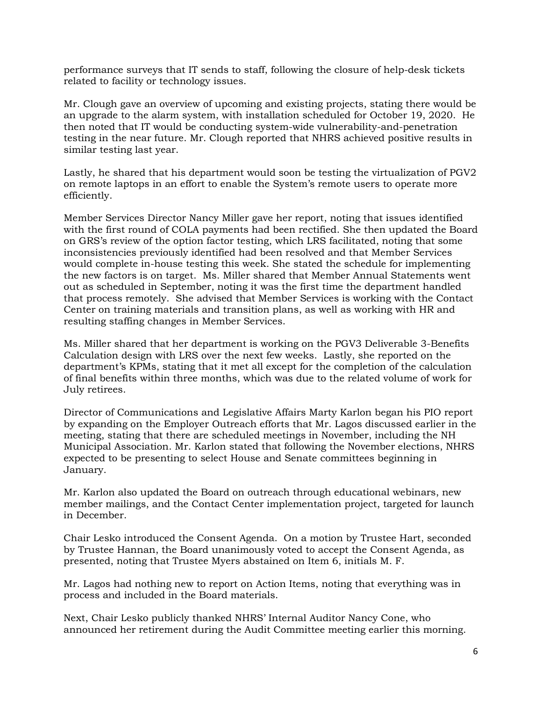performance surveys that IT sends to staff, following the closure of help-desk tickets related to facility or technology issues.

Mr. Clough gave an overview of upcoming and existing projects, stating there would be an upgrade to the alarm system, with installation scheduled for October 19, 2020. He then noted that IT would be conducting system-wide vulnerability-and-penetration testing in the near future. Mr. Clough reported that NHRS achieved positive results in similar testing last year.

Lastly, he shared that his department would soon be testing the virtualization of PGV2 on remote laptops in an effort to enable the System's remote users to operate more efficiently.

Member Services Director Nancy Miller gave her report, noting that issues identified with the first round of COLA payments had been rectified. She then updated the Board on GRS's review of the option factor testing, which LRS facilitated, noting that some inconsistencies previously identified had been resolved and that Member Services would complete in-house testing this week. She stated the schedule for implementing the new factors is on target. Ms. Miller shared that Member Annual Statements went out as scheduled in September, noting it was the first time the department handled that process remotely. She advised that Member Services is working with the Contact Center on training materials and transition plans, as well as working with HR and resulting staffing changes in Member Services.

Ms. Miller shared that her department is working on the PGV3 Deliverable 3-Benefits Calculation design with LRS over the next few weeks. Lastly, she reported on the department's KPMs, stating that it met all except for the completion of the calculation of final benefits within three months, which was due to the related volume of work for July retirees.

Director of Communications and Legislative Affairs Marty Karlon began his PIO report by expanding on the Employer Outreach efforts that Mr. Lagos discussed earlier in the meeting, stating that there are scheduled meetings in November, including the NH Municipal Association. Mr. Karlon stated that following the November elections, NHRS expected to be presenting to select House and Senate committees beginning in January.

Mr. Karlon also updated the Board on outreach through educational webinars, new member mailings, and the Contact Center implementation project, targeted for launch in December.

Chair Lesko introduced the Consent Agenda. On a motion by Trustee Hart, seconded by Trustee Hannan, the Board unanimously voted to accept the Consent Agenda, as presented, noting that Trustee Myers abstained on Item 6, initials M. F.

Mr. Lagos had nothing new to report on Action Items, noting that everything was in process and included in the Board materials.

Next, Chair Lesko publicly thanked NHRS' Internal Auditor Nancy Cone, who announced her retirement during the Audit Committee meeting earlier this morning.